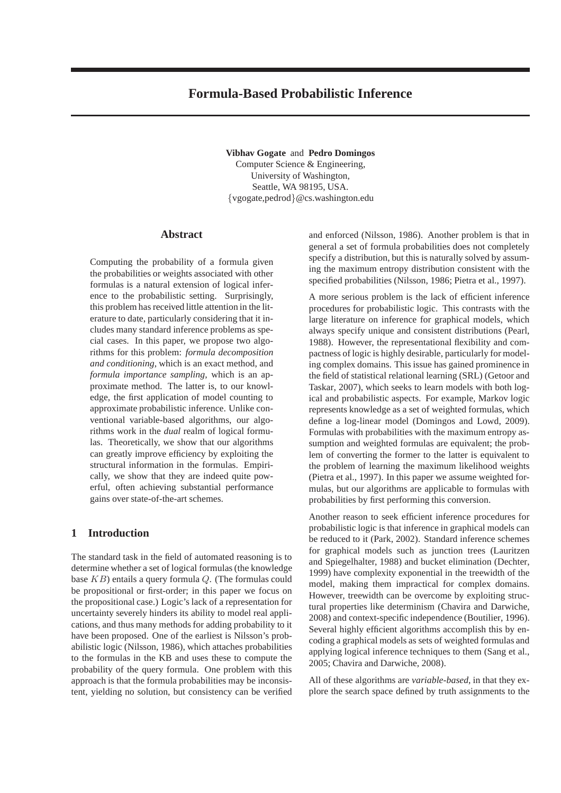# **Formula-Based Probabilistic Inference**

**Vibhav Gogate** and **Pedro Domingos** Computer Science & Engineering, University of Washington, Seattle, WA 98195, USA. {vgogate,pedrod}@cs.washington.edu

### **Abstract**

Computing the probability of a formula given the probabilities or weights associated with other formulas is a natural extension of logical inference to the probabilistic setting. Surprisingly, this problem has received little attention in the literature to date, particularly considering that it includes many standard inference problems as special cases. In this paper, we propose two algorithms for this problem: *formula decomposition and conditioning*, which is an exact method, and *formula importance sampling*, which is an approximate method. The latter is, to our knowledge, the first application of model counting to approximate probabilistic inference. Unlike conventional variable-based algorithms, our algorithms work in the *dual* realm of logical formulas. Theoretically, we show that our algorithms can greatly improve efficiency by exploiting the structural information in the formulas. Empirically, we show that they are indeed quite powerful, often achieving substantial performance gains over state-of-the-art schemes.

## **1 Introduction**

The standard task in the field of automated reasoning is to determine whether a set of logical formulas (the knowledge base KB) entails a query formula Q. (The formulas could be propositional or first-order; in this paper we focus on the propositional case.) Logic's lack of a representation for uncertainty severely hinders its ability to model real applications, and thus many methods for adding probability to it have been proposed. One of the earliest is Nilsson's probabilistic logic (Nilsson, 1986), which attaches probabilities to the formulas in the KB and uses these to compute the probability of the query formula. One problem with this approach is that the formula probabilities may be inconsistent, yielding no solution, but consistency can be verified and enforced (Nilsson, 1986). Another problem is that in general a set of formula probabilities does not completely specify a distribution, but this is naturally solved by assuming the maximum entropy distribution consistent with the specified probabilities (Nilsson, 1986; Pietra et al., 1997).

A more serious problem is the lack of efficient inference procedures for probabilistic logic. This contrasts with the large literature on inference for graphical models, which always specify unique and consistent distributions (Pearl, 1988). However, the representational flexibility and compactness of logic is highly desirable, particularly for modeling complex domains. This issue has gained prominence in the field of statistical relational learning (SRL) (Getoor and Taskar, 2007), which seeks to learn models with both logical and probabilistic aspects. For example, Markov logic represents knowledge as a set of weighted formulas, which define a log-linear model (Domingos and Lowd, 2009). Formulas with probabilities with the maximum entropy assumption and weighted formulas are equivalent; the problem of converting the former to the latter is equivalent to the problem of learning the maximum likelihood weights (Pietra et al., 1997). In this paper we assume weighted formulas, but our algorithms are applicable to formulas with probabilities by first performing this conversion.

Another reason to seek efficient inference procedures for probabilistic logic is that inference in graphical models can be reduced to it (Park, 2002). Standard inference schemes for graphical models such as junction trees (Lauritzen and Spiegelhalter, 1988) and bucket elimination (Dechter, 1999) have complexity exponential in the treewidth of the model, making them impractical for complex domains. However, treewidth can be overcome by exploiting structural properties like determinism (Chavira and Darwiche, 2008) and context-specific independence (Boutilier, 1996). Several highly efficient algorithms accomplish this by encoding a graphical models as sets of weighted formulas and applying logical inference techniques to them (Sang et al., 2005; Chavira and Darwiche, 2008).

All of these algorithms are *variable-based*, in that they explore the search space defined by truth assignments to the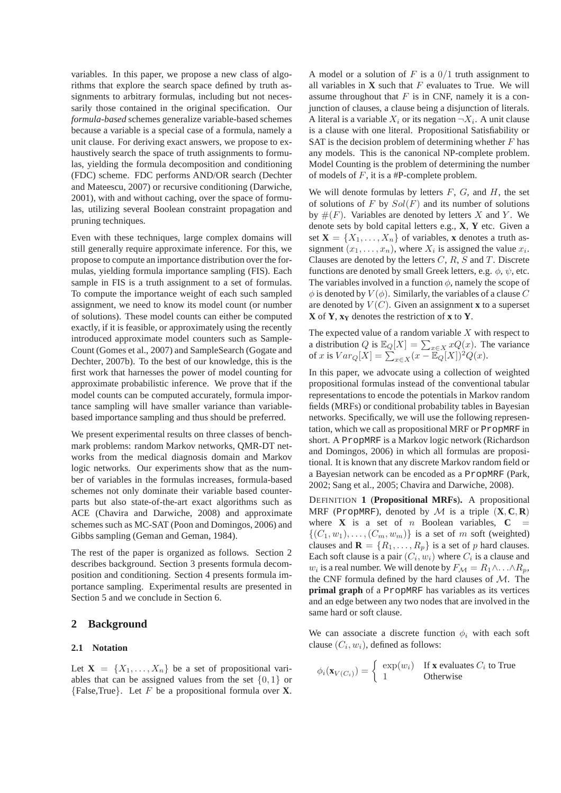variables. In this paper, we propose a new class of algorithms that explore the search space defined by truth assignments to arbitrary formulas, including but not necessarily those contained in the original specification. Our *formula-based* schemes generalize variable-based schemes because a variable is a special case of a formula, namely a unit clause. For deriving exact answers, we propose to exhaustively search the space of truth assignments to formulas, yielding the formula decomposition and conditioning (FDC) scheme. FDC performs AND/OR search (Dechter and Mateescu, 2007) or recursive conditioning (Darwiche, 2001), with and without caching, over the space of formulas, utilizing several Boolean constraint propagation and pruning techniques.

Even with these techniques, large complex domains will still generally require approximate inference. For this, we propose to compute an importance distribution over the formulas, yielding formula importance sampling (FIS). Each sample in FIS is a truth assignment to a set of formulas. To compute the importance weight of each such sampled assignment, we need to know its model count (or number of solutions). These model counts can either be computed exactly, if it is feasible, or approximately using the recently introduced approximate model counters such as Sample-Count (Gomes et al., 2007) and SampleSearch (Gogate and Dechter, 2007b). To the best of our knowledge, this is the first work that harnesses the power of model counting for approximate probabilistic inference. We prove that if the model counts can be computed accurately, formula importance sampling will have smaller variance than variablebased importance sampling and thus should be preferred.

We present experimental results on three classes of benchmark problems: random Markov networks, QMR-DT networks from the medical diagnosis domain and Markov logic networks. Our experiments show that as the number of variables in the formulas increases, formula-based schemes not only dominate their variable based counterparts but also state-of-the-art exact algorithms such as ACE (Chavira and Darwiche, 2008) and approximate schemes such as MC-SAT (Poon and Domingos, 2006) and Gibbs sampling (Geman and Geman, 1984).

The rest of the paper is organized as follows. Section 2 describes background. Section 3 presents formula decomposition and conditioning. Section 4 presents formula importance sampling. Experimental results are presented in Section 5 and we conclude in Section 6.

## **2 Background**

#### **2.1 Notation**

Let  $X = \{X_1, \ldots, X_n\}$  be a set of propositional variables that can be assigned values from the set  $\{0, 1\}$  or {False,True}. Let F be a propositional formula over **X**.

A model or a solution of F is a  $0/1$  truth assignment to all variables in  $X$  such that  $F$  evaluates to True. We will assume throughout that  $F$  is in CNF, namely it is a conjunction of clauses, a clause being a disjunction of literals. A literal is a variable  $X_i$  or its negation  $\neg X_i$ . A unit clause is a clause with one literal. Propositional Satisfiability or SAT is the decision problem of determining whether  $F$  has any models. This is the canonical NP-complete problem. Model Counting is the problem of determining the number of models of  $F$ , it is a #P-complete problem.

We will denote formulas by letters  $F$ ,  $G$ , and  $H$ , the set of solutions of F by  $Sol(F)$  and its number of solutions by  $#(F)$ . Variables are denoted by letters X and Y. We denote sets by bold capital letters e.g., **X**, **Y** etc. Given a set  $X = \{X_1, \ldots, X_n\}$  of variables, x denotes a truth assignment  $(x_1, \ldots, x_n)$ , where  $X_i$  is assigned the value  $x_i$ . Clauses are denoted by the letters  $C$ ,  $R$ ,  $S$  and  $T$ . Discrete functions are denoted by small Greek letters, e.g.  $\phi$ ,  $\psi$ , etc. The variables involved in a function  $\phi$ , namely the scope of  $\phi$  is denoted by  $V(\phi)$ . Similarly, the variables of a clause C are denoted by  $V(C)$ . Given an assignment **x** to a superset **X** of **Y**, **x<sup>Y</sup>** denotes the restriction of **x** to **Y**.

The expected value of a random variable  $X$  with respect to a distribution Q is  $\mathbb{E}_Q[X] = \sum_{x \in X} xQ(x)$ . The variance of x is  $Var_Q[X] = \sum_{x \in X} \left( x - \mathbb{E}_Q[X] \right)^2 Q(x)$ .

In this paper, we advocate using a collection of weighted propositional formulas instead of the conventional tabular representations to encode the potentials in Markov random fields (MRFs) or conditional probability tables in Bayesian networks. Specifically, we will use the following representation, which we call as propositional MRF or PropMRF in short. A PropMRF is a Markov logic network (Richardson and Domingos, 2006) in which all formulas are propositional. It is known that any discrete Markov random field or a Bayesian network can be encoded as a PropMRF (Park, 2002; Sang et al., 2005; Chavira and Darwiche, 2008).

DEFINITION **1** (**Propositional MRFs**)**.** A propositional MRF (PropMRF), denoted by  $M$  is a triple  $(X, C, R)$ where **X** is a set of n Boolean variables,  $C =$  $\{(C_1, w_1), \ldots, (C_m, w_m)\}\$ is a set of m soft (weighted) clauses and  $\mathbf{R} = \{R_1, \ldots, R_p\}$  is a set of p hard clauses. Each soft clause is a pair  $(C_i, w_i)$  where  $C_i$  is a clause and  $w_i$  is a real number. We will denote by  $F_{\mathcal{M}} = R_1 \wedge \ldots \wedge R_p$ , the CNF formula defined by the hard clauses of  $M$ . The **primal graph** of a PropMRF has variables as its vertices and an edge between any two nodes that are involved in the same hard or soft clause.

We can associate a discrete function  $\phi_i$  with each soft clause  $(C_i, w_i)$ , defined as follows:

$$
\phi_i(\mathbf{x}_{V(C_i)}) = \begin{cases} \exp(w_i) & \text{If } \mathbf{x} \text{ evaluates } C_i \text{ to True} \\ 1 & \text{Otherwise} \end{cases}
$$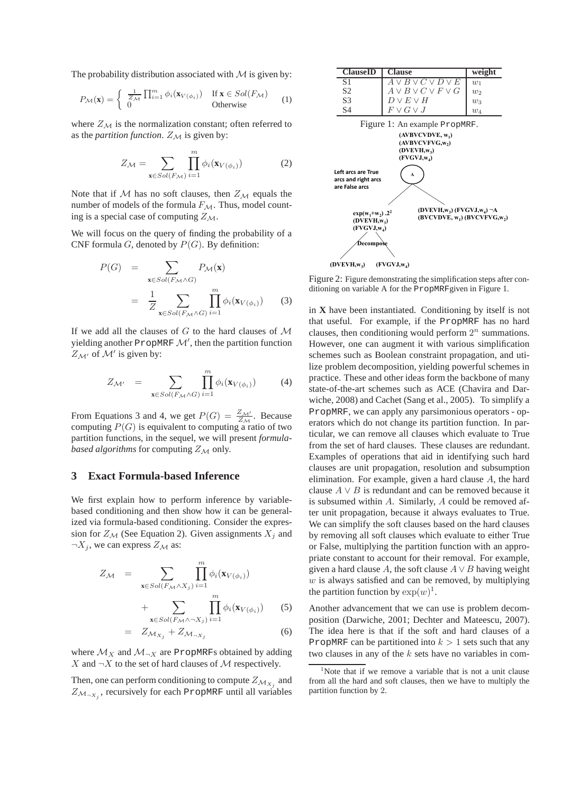The probability distribution associated with  $M$  is given by:

$$
P_{\mathcal{M}}(\mathbf{x}) = \begin{cases} \frac{1}{Z_{\mathcal{M}}} \prod_{i=1}^{m} \phi_i(\mathbf{x}_{V(\phi_i)}) & \text{If } \mathbf{x} \in Sol(F_{\mathcal{M}}) \\ 0 & \text{Otherwise} \end{cases} (1)
$$

where  $Z_{\mathcal{M}}$  is the normalization constant; often referred to as the *partition function*.  $Z_M$  is given by:

$$
Z_{\mathcal{M}} = \sum_{\mathbf{x} \in Sol(F_{\mathcal{M}})} \prod_{i=1}^{m} \phi_i(\mathbf{x}_{V(\phi_i)})
$$
(2)

Note that if M has no soft clauses, then  $Z_M$  equals the number of models of the formula  $F_{\mathcal{M}}$ . Thus, model counting is a special case of computing  $Z_M$ .

We will focus on the query of finding the probability of a CNF formula  $G$ , denoted by  $P(G)$ . By definition:

$$
P(G) = \sum_{\mathbf{x} \in Sol(F_{\mathcal{M}} \wedge G)} P_{\mathcal{M}}(\mathbf{x})
$$
  
= 
$$
\frac{1}{Z} \sum_{\mathbf{x} \in Sol(F_{\mathcal{M}} \wedge G)} \prod_{i=1}^{m} \phi_i(\mathbf{x}_{V(\phi_i)})
$$
(3)

If we add all the clauses of  $G$  to the hard clauses of  $M$ yielding another PropMRF  $\mathcal{M}'$ , then the partition function  $Z_{\mathcal{M}'}$  of  $\mathcal{M}'$  is given by:

$$
Z_{\mathcal{M}'} = \sum_{\mathbf{x} \in Sol(F_{\mathcal{M}} \wedge G)} \prod_{i=1}^{m} \phi_i(\mathbf{x}_{V(\phi_i)}) \tag{4}
$$

From Equations 3 and 4, we get  $P(G) = \frac{Z_{\mathcal{M}'}}{Z_{\mathcal{M}}}$ . Because computing  $P(G)$  is equivalent to computing a ratio of two partition functions, in the sequel, we will present *formulabased algorithms* for computing  $Z_M$  only.

### **3 Exact Formula-based Inference**

We first explain how to perform inference by variablebased conditioning and then show how it can be generalized via formula-based conditioning. Consider the expression for  $Z_{\mathcal{M}}$  (See Equation 2). Given assignments  $X_j$  and  $\neg X_i$ , we can express  $Z_M$  as:

$$
Z_{\mathcal{M}} = \sum_{\mathbf{x} \in Sol(F_{\mathcal{M}} \wedge X_j)} \prod_{i=1}^{m} \phi_i(\mathbf{x}_{V(\phi_i)})
$$
  
+ 
$$
\sum_{\mathbf{x} \in Sol(F_{\mathcal{M}} \wedge \neg X_j)} \prod_{i=1}^{m} \phi_i(\mathbf{x}_{V(\phi_i)})
$$
(5)  
= 
$$
Z_{\mathcal{M}_{X_j}} + Z_{\mathcal{M}_{\neg X_j}}
$$
(6)

where  $\mathcal{M}_X$  and  $\mathcal{M}_{\neg X}$  are PropMRFs obtained by adding  $X$  and  $\neg X$  to the set of hard clauses of  $M$  respectively.

Then, one can perform conditioning to compute  $Z_{\mathcal{M}_{X_j}}$  and  $Z_{\mathcal{M}_{\neg X_j}}$ , recursively for each PropMRF until all variables



 $(DVEVH, w_3)$  $(FVGVJ, w_4)$ 

Figure 2: Figure demonstrating the simplification steps after conditioning on variable A for the PropMRFgiven in Figure 1.

in **X** have been instantiated. Conditioning by itself is not that useful. For example, if the PropMRF has no hard clauses, then conditioning would perform  $2^n$  summations. However, one can augment it with various simplification schemes such as Boolean constraint propagation, and utilize problem decomposition, yielding powerful schemes in practice. These and other ideas form the backbone of many state-of-the-art schemes such as ACE (Chavira and Darwiche, 2008) and Cachet (Sang et al., 2005). To simplify a PropMRF, we can apply any parsimonious operators - operators which do not change its partition function. In particular, we can remove all clauses which evaluate to True from the set of hard clauses. These clauses are redundant. Examples of operations that aid in identifying such hard clauses are unit propagation, resolution and subsumption elimination. For example, given a hard clause A, the hard clause  $A \vee B$  is redundant and can be removed because it is subsumed within A. Similarly, A could be removed after unit propagation, because it always evaluates to True. We can simplify the soft clauses based on the hard clauses by removing all soft clauses which evaluate to either True or False, multiplying the partition function with an appropriate constant to account for their removal. For example, given a hard clause A, the soft clause  $A \vee B$  having weight  $w$  is always satisfied and can be removed, by multiplying the partition function by  $\exp(w)^1$ .

Another advancement that we can use is problem decomposition (Darwiche, 2001; Dechter and Mateescu, 2007). The idea here is that if the soft and hard clauses of a PropMRF can be partitioned into  $k > 1$  sets such that any two clauses in any of the  $k$  sets have no variables in com-

<sup>&</sup>lt;sup>1</sup>Note that if we remove a variable that is not a unit clause from all the hard and soft clauses, then we have to multiply the partition function by 2.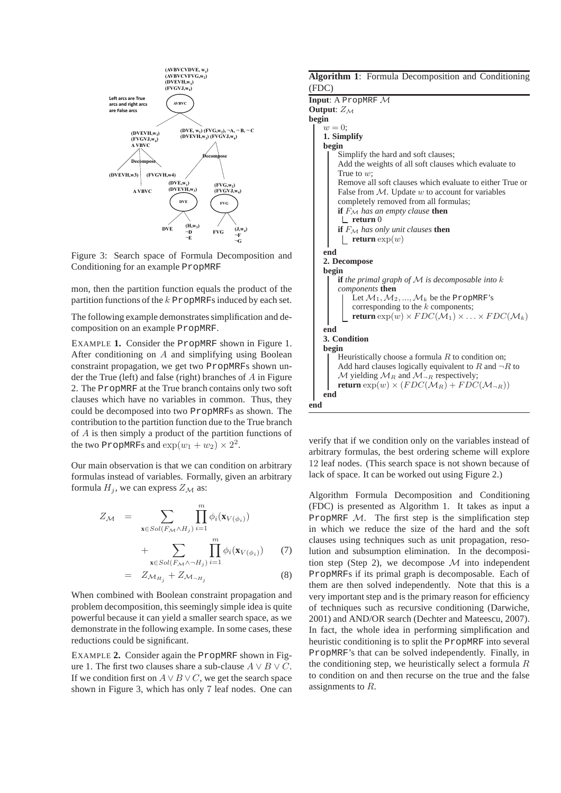

Figure 3: Search space of Formula Decomposition and Conditioning for an example PropMRF

mon, then the partition function equals the product of the partition functions of the  $k$  PropMRFs induced by each set.

The following example demonstrates simplification and decomposition on an example PropMRF.

EXAMPLE **1.** Consider the PropMRF shown in Figure 1. After conditioning on A and simplifying using Boolean constraint propagation, we get two PropMRFs shown under the True (left) and false (right) branches of A in Figure 2. The PropMRF at the True branch contains only two soft clauses which have no variables in common. Thus, they could be decomposed into two PropMRFs as shown. The contribution to the partition function due to the True branch of A is then simply a product of the partition functions of the two PropMRFs and  $\exp(w_1 + w_2) \times 2^2$ .

Our main observation is that we can condition on arbitrary formulas instead of variables. Formally, given an arbitrary formula  $H_i$ , we can express  $Z_M$  as:

$$
Z_{\mathcal{M}} = \sum_{\mathbf{x} \in Sol(F_{\mathcal{M}} \wedge H_j)} \prod_{i=1}^{m} \phi_i(\mathbf{x}_{V(\phi_i)}) + \sum_{\mathbf{x} \in Sol(F_{\mathcal{M}} \wedge \neg H_j)} \prod_{i=1}^{m} \phi_i(\mathbf{x}_{V(\phi_i)}) \qquad (7)
$$

$$
= Z_{\mathcal{M}_{H_j}} + Z_{\mathcal{M}_{\neg H_j}} \tag{8}
$$

When combined with Boolean constraint propagation and problem decomposition, this seemingly simple idea is quite powerful because it can yield a smaller search space, as we demonstrate in the following example. In some cases, these reductions could be significant.

EXAMPLE **2.** Consider again the PropMRF shown in Figure 1. The first two clauses share a sub-clause  $A \vee B \vee C$ . If we condition first on  $A \vee B \vee C$ , we get the search space shown in Figure 3, which has only 7 leaf nodes. One can

## **Algorithm 1**: Formula Decomposition and Conditioning (FDC)

```
Input: A PropMRF M
Output: Z_{\mathcal{M}}begin
    w = 0;
    1. Simplify
    begin
         Simplify the hard and soft clauses;
         Add the weights of all soft clauses which evaluate to
         True to w;
         Remove all soft clauses which evaluate to either True or
         False from M. Update w to account for variables
         completely removed from all formulas;
         if F_{\mathcal{M}} has an empty clause then
          return 0
         if F_M has only unit clauses then
          return exp(w)end
    2. Decompose
    begin
         if the primal graph of M is decomposable into k
         components then
             Let \mathcal{M}_1, \mathcal{M}_2, ..., \mathcal{M}_k be the PropMRF's
             corresponding to the k components;
             return \exp(w) \times FDC(\mathcal{M}_1) \times ... \times FDC(\mathcal{M}_k)end
    3. Condition
    begin
         Heuristically choose a formula R to condition on:
         Add hard clauses logically equivalent to R and \neg R to
         M yielding \mathcal{M}_R and \mathcal{M}_{\neg R} respectively;
         return \exp(w) \times (FDC(\mathcal{M}_R) + FDC(\mathcal{M}_{\neg R}))end
end
```
verify that if we condition only on the variables instead of arbitrary formulas, the best ordering scheme will explore 12 leaf nodes. (This search space is not shown because of lack of space. It can be worked out using Figure 2.)

Algorithm Formula Decomposition and Conditioning (FDC) is presented as Algorithm 1. It takes as input a PropMRF  $M$ . The first step is the simplification step in which we reduce the size of the hard and the soft clauses using techniques such as unit propagation, resolution and subsumption elimination. In the decomposition step (Step 2), we decompose  $M$  into independent PropMRFs if its primal graph is decomposable. Each of them are then solved independently. Note that this is a very important step and is the primary reason for efficiency of techniques such as recursive conditioning (Darwiche, 2001) and AND/OR search (Dechter and Mateescu, 2007). In fact, the whole idea in performing simplification and heuristic conditioning is to split the PropMRF into several PropMRF's that can be solved independently. Finally, in the conditioning step, we heuristically select a formula  $R$ to condition on and then recurse on the true and the false assignments to R.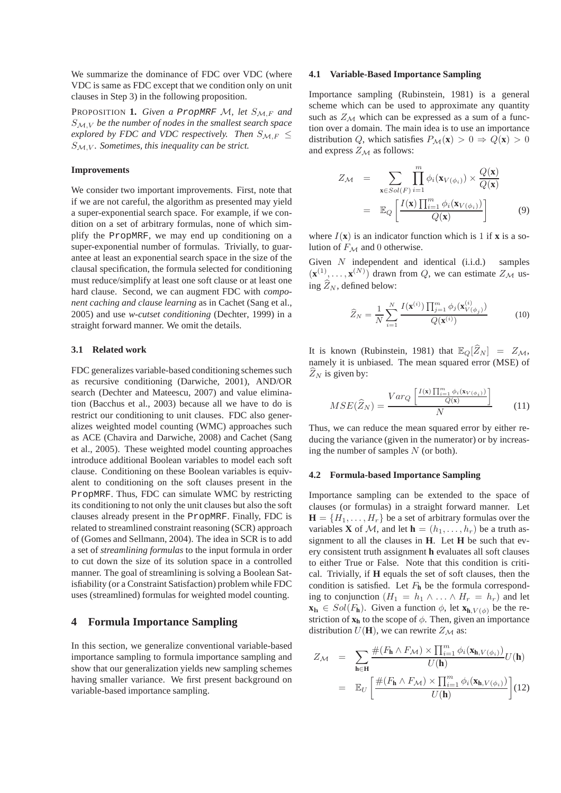We summarize the dominance of FDC over VDC (where VDC is same as FDC except that we condition only on unit clauses in Step 3) in the following proposition.

PROPOSITION 1. *Given a PropMRF M, let*  $S_{\mathcal{M},F}$  and S<sup>M</sup>,V *be the number of nodes in the smallest search space explored by FDC and VDC respectively. Then*  $S_{M,F}$   $\leq$ S<sup>M</sup>,V *. Sometimes, this inequality can be strict.*

#### **Improvements**

We consider two important improvements. First, note that if we are not careful, the algorithm as presented may yield a super-exponential search space. For example, if we condition on a set of arbitrary formulas, none of which simplify the PropMRF, we may end up conditioning on a super-exponential number of formulas. Trivially, to guarantee at least an exponential search space in the size of the clausal specification, the formula selected for conditioning must reduce/simplify at least one soft clause or at least one hard clause. Second, we can augment FDC with *component caching and clause learning* as in Cachet (Sang et al., 2005) and use *w-cutset conditioning* (Dechter, 1999) in a straight forward manner. We omit the details.

#### **3.1 Related work**

FDC generalizes variable-based conditioning schemes such as recursive conditioning (Darwiche, 2001), AND/OR search (Dechter and Mateescu, 2007) and value elimination (Bacchus et al., 2003) because all we have to do is restrict our conditioning to unit clauses. FDC also generalizes weighted model counting (WMC) approaches such as ACE (Chavira and Darwiche, 2008) and Cachet (Sang et al., 2005). These weighted model counting approaches introduce additional Boolean variables to model each soft clause. Conditioning on these Boolean variables is equivalent to conditioning on the soft clauses present in the PropMRF. Thus, FDC can simulate WMC by restricting its conditioning to not only the unit clauses but also the soft clauses already present in the PropMRF. Finally, FDC is related to streamlined constraint reasoning (SCR) approach of (Gomes and Sellmann, 2004). The idea in SCR is to add a set of *streamlining formulas* to the input formula in order to cut down the size of its solution space in a controlled manner. The goal of streamlining is solving a Boolean Satisfiability (or a Constraint Satisfaction) problem while FDC uses (streamlined) formulas for weighted model counting.

## **4 Formula Importance Sampling**

In this section, we generalize conventional variable-based importance sampling to formula importance sampling and show that our generalization yields new sampling schemes having smaller variance. We first present background on variable-based importance sampling.

#### **4.1 Variable-Based Importance Sampling**

Importance sampling (Rubinstein, 1981) is a general scheme which can be used to approximate any quantity such as  $Z_M$  which can be expressed as a sum of a function over a domain. The main idea is to use an importance distribution Q, which satisfies  $P_{\mathcal{M}}(\mathbf{x}) > 0 \Rightarrow Q(\mathbf{x}) > 0$ and express  $Z_{\mathcal{M}}$  as follows:

$$
Z_{\mathcal{M}} = \sum_{\mathbf{x} \in Sol(F)} \prod_{i=1}^{m} \phi_i(\mathbf{x}_{V(\phi_i)}) \times \frac{Q(\mathbf{x})}{Q(\mathbf{x})}
$$

$$
= \mathbb{E}_Q \left[ \frac{I(\mathbf{x}) \prod_{i=1}^{m} \phi_i(\mathbf{x}_{V(\phi_i)})}{Q(\mathbf{x})} \right] \tag{9}
$$

where  $I(\mathbf{x})$  is an indicator function which is 1 if **x** is a solution of  $F_M$  and 0 otherwise.

Given N independent and identical (i.i.d.) samples  $(\mathbf{x}^{(1)}, \dots, \mathbf{x}^{(N)})$  drawn from Q, we can estimate  $Z_M$  using  $\widehat{Z}_N$ , defined below:

$$
\widehat{Z}_N = \frac{1}{N} \sum_{i=1}^N \frac{I(\mathbf{x}^{(i)}) \prod_{j=1}^m \phi_j(\mathbf{x}_{V(\phi_j)}^{(i)})}{Q(\mathbf{x}^{(i)})}
$$
(10)

It is known (Rubinstein, 1981) that  $\mathbb{E}_{Q}[\widehat{Z}_{N}] = Z_{\mathcal{M}}$ , namely it is unbiased. The mean squared error (MSE) of  $\widehat{Z}_N$  is given by:

$$
MSE(\widehat{Z}_N) = \frac{Var_Q\left[\frac{I(\mathbf{x})\prod_{i=1}^m \phi_i(\mathbf{x}_{V(\phi_i)})}{Q(\mathbf{x})}\right]}{N}
$$
(11)

Thus, we can reduce the mean squared error by either reducing the variance (given in the numerator) or by increasing the number of samples  $N$  (or both).

#### **4.2 Formula-based Importance Sampling**

Importance sampling can be extended to the space of clauses (or formulas) in a straight forward manner. Let  $\mathbf{H} = \{H_1, \dots, H_r\}$  be a set of arbitrary formulas over the variables **X** of M, and let  $\mathbf{h} = (h_1, \dots, h_r)$  be a truth assignment to all the clauses in **H**. Let **H** be such that every consistent truth assignment **h** evaluates all soft clauses to either True or False. Note that this condition is critical. Trivially, if **H** equals the set of soft clauses, then the condition is satisfied. Let  $F<sub>h</sub>$  be the formula corresponding to conjunction  $(H_1 = h_1 \wedge ... \wedge H_r = h_r)$  and let  $\mathbf{x_h} \in Sol(F_{\mathbf{h}})$ . Given a function  $\phi$ , let  $\mathbf{x_{h,V(\phi)}}$  be the restriction of  $\mathbf{x}_h$  to the scope of  $\phi$ . Then, given an importance distribution  $U(\mathbf{H})$ , we can rewrite  $Z_M$  as:

$$
Z_{\mathcal{M}} = \sum_{\mathbf{h} \in \mathbf{H}} \frac{\#(F_{\mathbf{h}} \wedge F_{\mathcal{M}}) \times \prod_{i=1}^{m} \phi_{i}(\mathbf{x}_{\mathbf{h}, V(\phi_{i})})}{U(\mathbf{h})} U(\mathbf{h})
$$
  
= 
$$
\mathbb{E}_{U} \left[ \frac{\#(F_{\mathbf{h}} \wedge F_{\mathcal{M}}) \times \prod_{i=1}^{m} \phi_{i}(\mathbf{x}_{\mathbf{h}, V(\phi_{i})})}{U(\mathbf{h})} \right] (12)
$$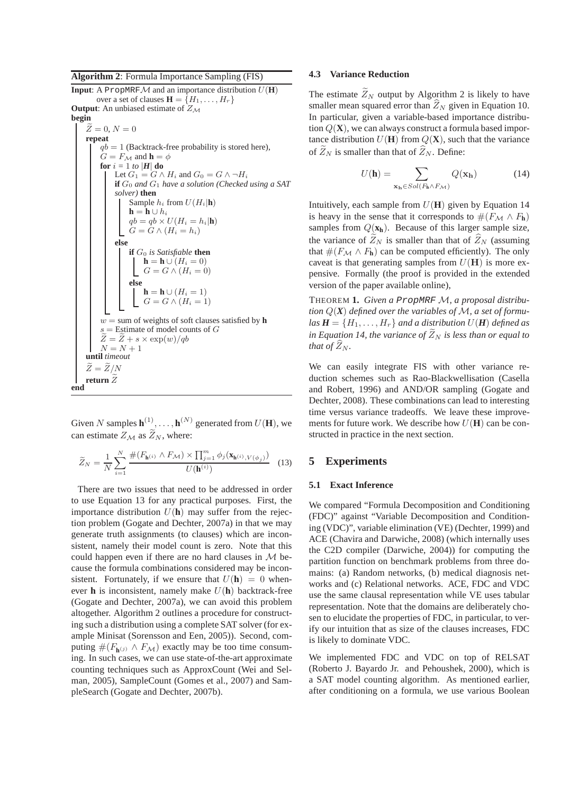### **Algorithm 2**: Formula Importance Sampling (FIS)

**Input**: A PropMRFM and an importance distribution  $U(H)$ over a set of clauses  $\mathbf{H} = \{H_1, \ldots, H_r\}$ **Output**: An unbiased estimate of  $Z_M$ **begin**  $\tilde{Z}=0, N=0$ **repeat**  $qb = 1$  (Backtrack-free probability is stored here),  $G = F_{\mathcal{M}}$  and  $\mathbf{h} = \phi$ **for**  $i = 1$  *to*  $|H|$  **do** Let  $G_1 = G \wedge H_i$  and  $G_0 = G \wedge \neg H_i$ **if**  $G_0$  *and*  $G_1$  *have a solution (Checked using a SAT solver)* **then** Sample  $h_i$  from  $U(H_i|\mathbf{h})$ **h** = **h** ∪  $h_i$  $qb = qb \times U(H_i = h_i|h)$  $G = \hat{G} \wedge (H_i = h_i)$ **else if** G<sup>0</sup> *is Satisfiable* **then**  $\mathbf{h} = \mathbf{h} \cup (H_i = 0)$  $G = G \wedge (H_i = 0)$ **else**  $\mathbf{h} = \mathbf{h} \cup (H_i = 1)$  $G = G \wedge (H_i = 1)$  $w =$ sum of weights of soft clauses satisfied by **h**  $s =$  Estimate of model counts of  $G$  $\widetilde{Z} = \widetilde{Z} + s \times \exp(w) / qb$  $N = N + 1$ **until** *timeout*  $\widetilde{Z}=\widetilde{Z}/N$ **return**  $\widetilde{Z}$ **end**

Given N samples  $\mathbf{h}^{(1)}, \ldots, \mathbf{h}^{(N)}$  generated from  $U(\mathbf{H})$ , we can estimate  $Z_{\mathcal{M}}$  as  $\widetilde{Z}_N$ , where:

$$
\widetilde{Z}_N = \frac{1}{N} \sum_{i=1}^N \frac{\#(F_{\mathbf{h}^{(i)}} \wedge F_{\mathcal{M}}) \times \prod_{j=1}^m \phi_j(\mathbf{x}_{\mathbf{h}^{(i)}, V(\phi_j)})}{U(\mathbf{h}^{(i)})} \tag{13}
$$

There are two issues that need to be addressed in order to use Equation 13 for any practical purposes. First, the importance distribution  $U(\mathbf{h})$  may suffer from the rejection problem (Gogate and Dechter, 2007a) in that we may generate truth assignments (to clauses) which are inconsistent, namely their model count is zero. Note that this could happen even if there are no hard clauses in  $M$  because the formula combinations considered may be inconsistent. Fortunately, if we ensure that  $U(\mathbf{h}) = 0$  whenever **h** is inconsistent, namely make  $U(\mathbf{h})$  backtrack-free (Gogate and Dechter, 2007a), we can avoid this problem altogether. Algorithm 2 outlines a procedure for constructing such a distribution using a complete SAT solver (for example Minisat (Sorensson and Een, 2005)). Second, computing  $\#(F_{\mathbf{h}^{(j)}} \wedge F_{\mathcal{M}})$  exactly may be too time consuming. In such cases, we can use state-of-the-art approximate counting techniques such as ApproxCount (Wei and Selman, 2005), SampleCount (Gomes et al., 2007) and SampleSearch (Gogate and Dechter, 2007b).

#### **4.3 Variance Reduction**

The estimate  $\widetilde{Z}_N$  output by Algorithm 2 is likely to have smaller mean squared error than  $Z_N$  given in Equation 10. In particular, given a variable-based importance distribution  $Q(X)$ , we can always construct a formula based importance distribution  $U(H)$  from  $Q(X)$ , such that the variance of  $\widetilde{Z}_N$  is smaller than that of  $\widehat{Z}_N$ . Define:

$$
U(\mathbf{h}) = \sum_{\mathbf{x_h} \in Sol(F_{\mathbf{h}} \wedge F_{\mathcal{M}})} Q(\mathbf{x_h})
$$
 (14)

Intuitively, each sample from  $U(H)$  given by Equation 14 is heavy in the sense that it corresponds to  $#(F_{\mathcal{M}} \wedge F_{\mathbf{h}})$ samples from  $Q(\mathbf{x_h})$ . Because of this larger sample size, the variance of  $Z_N$  is smaller than that of  $\hat{Z}_N$  (assuming that  $#(F_{\mathcal{M}} \wedge F_{\mathbf{h}})$  can be computed efficiently). The only caveat is that generating samples from  $U(H)$  is more expensive. Formally (the proof is provided in the extended version of the paper available online),

THEOREM **1.** *Given a* PropMRF M*, a proposal distribu-* $\mathcal{L}(X)$  *defined over the variables of* M, a set of formu $las H = {H<sub>1</sub>,..., H<sub>r</sub>}$  *and a distribution*  $U(H)$  *defined as in Equation 14, the variance of*  $\widetilde{Z}_N$  *is less than or equal to that of*  $\overline{Z_N}$ *.* 

We can easily integrate FIS with other variance reduction schemes such as Rao-Blackwellisation (Casella and Robert, 1996) and AND/OR sampling (Gogate and Dechter, 2008). These combinations can lead to interesting time versus variance tradeoffs. We leave these improvements for future work. We describe how  $U(H)$  can be constructed in practice in the next section.

## **5 Experiments**

#### **5.1 Exact Inference**

We compared "Formula Decomposition and Conditioning (FDC)" against "Variable Decomposition and Conditioning (VDC)", variable elimination (VE) (Dechter, 1999) and ACE (Chavira and Darwiche, 2008) (which internally uses the C2D compiler (Darwiche, 2004)) for computing the partition function on benchmark problems from three domains: (a) Random networks, (b) medical diagnosis networks and (c) Relational networks. ACE, FDC and VDC use the same clausal representation while VE uses tabular representation. Note that the domains are deliberately chosen to elucidate the properties of FDC, in particular, to verify our intuition that as size of the clauses increases, FDC is likely to dominate VDC.

We implemented FDC and VDC on top of RELSAT (Roberto J. Bayardo Jr. and Pehoushek, 2000), which is a SAT model counting algorithm. As mentioned earlier, after conditioning on a formula, we use various Boolean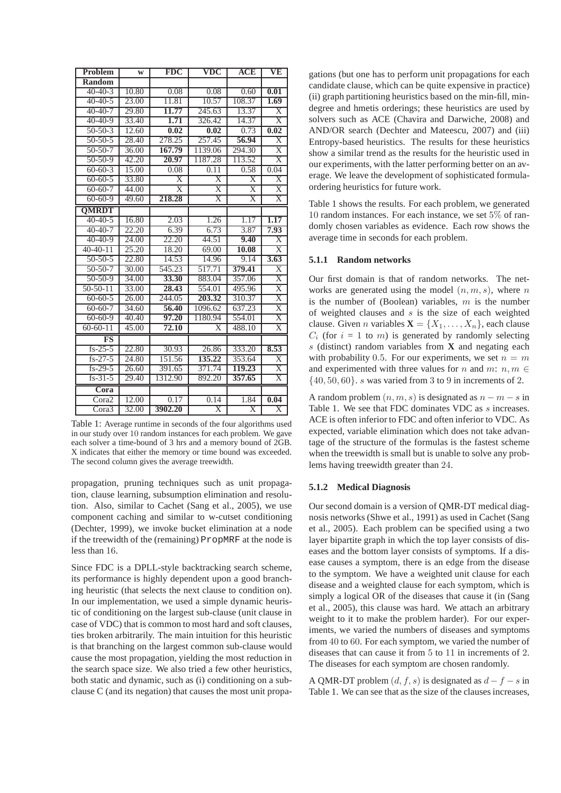| Problem                | W     | FDC                     | $\overline{\text{VDC}}$ | <b>ACE</b>              | $\overline{\bf V E}$    |
|------------------------|-------|-------------------------|-------------------------|-------------------------|-------------------------|
| <b>Random</b>          |       |                         |                         |                         |                         |
| $40 - 40 - 3$          | 10.80 | 0.08                    | 0.08                    | 0.60                    | 0.01                    |
| $40 - 40 - 5$          | 23.00 | 11.81                   | 10.57                   | 108.37                  | 1.69                    |
| $40-40-7$              | 29.80 | 11.77                   | 245.63                  | 13.37                   | $\overline{\mathrm{X}}$ |
| $40 - 40 - 9$          | 33.40 | 1.71                    | 326.42                  | 14.37                   | $\overline{\text{X}}$   |
| $50 - 50 - 3$          | 12.60 | 0.02                    | 0.02                    | 0.73                    | 0.02                    |
| $50 - 50 - 5$          | 28.40 | 278.25                  | 257.45                  | 56.94                   | $\overline{\text{X}}$   |
| $50-50-7$              | 36.00 | 167.79                  | 1139.06                 | 294.30                  | $\overline{\mathrm{X}}$ |
| $50-50-9$              | 42.20 | 20.97                   | 1187.28                 | 113.52                  | $\overline{\mathrm{X}}$ |
| $60 - 60 - 3$          | 15.00 | 0.08                    | 0.11                    | 0.58                    | 0.04                    |
| $60 - 60 - 5$          | 33.80 | $\overline{\text{X}}$   | $\overline{\mathbf{X}}$ | $\overline{\text{X}}$   | $\overline{\text{X}}$   |
| $60 - 60 - 7$          | 44.00 | $\overline{\mathbf{X}}$ | $\overline{\text{X}}$   | $\overline{\text{X}}$   | $\overline{\mathrm{X}}$ |
| $60 - 60 - 9$          | 49.60 | 218.28                  | $\overline{\text{X}}$   | $\overline{\text{X}}$   | $\overline{\mathrm{X}}$ |
| <b>OMRDT</b>           |       |                         |                         |                         |                         |
| $40 - 40 - 5$          | 16.80 | 2.03                    | 1.26                    | 1.17                    | 1.17                    |
| $40 - 40 - 7$          | 22.20 | 6.39                    | 6.73                    | 3.87                    | 7.93                    |
| $40-40-9$              | 24.00 | 22.20                   | 44.51                   | 9,40                    | $\overline{\text{X}}$   |
| $40-40-11$             | 25.20 | 18.20                   | 69.00                   | 10.08                   | $\overline{\mathrm{X}}$ |
| $50 - 50 - 5$          | 22.80 | 14.53                   | 14.96                   | 9.14                    | 3.63                    |
| $50 - 50 - 7$          | 30.00 | 545.23                  | 517.71                  | 379.41                  | $\overline{\text{X}}$   |
| $50 - 50 - 9$          | 34.00 | 33.30                   | 883.04                  | 357.06                  | $\overline{\mathrm{X}}$ |
| $50 - 50 - 11$         | 33.00 | 28.43                   | 554.01                  | 495.96                  | $\overline{\mathrm{X}}$ |
| $60 - 60 - 5$          | 26.00 | 244.05                  | 203.32                  | 310.37                  | $\overline{\mathrm{X}}$ |
| $60 - 60 - 7$          | 34.60 | 56.40                   | 1096.62                 | 637.23                  | $\overline{\mathrm{X}}$ |
| $60 - 60 - 9$          | 40.40 | 97.20                   | 1180.94                 | 554.01                  | $\overline{\mathrm{X}}$ |
| $60 - 60 - 11$         | 45.00 | 72.10                   | $\overline{X}$          | 488.10                  | $\overline{\mathrm{X}}$ |
| $\overline{\text{FS}}$ |       |                         |                         |                         |                         |
| $fs-25-5$              | 22.80 | 30.93                   | 26.86                   | 333.20                  | 8.53                    |
| $fs-27-5$              | 24.80 | 151.56                  | 135.22                  | 353.64                  | $\overline{\mathrm{X}}$ |
| $fs-29-5$              | 26.60 | 391.65                  | 371.74                  | 119.23                  | $\overline{\mathrm{X}}$ |
| $fs-31-5$              | 29.40 | 1312.90                 | 892.20                  | 357.65                  | $\overline{\mathrm{X}}$ |
| Cora                   |       |                         |                         |                         |                         |
| Cora2                  | 12.00 | 0.17                    | 0.14                    | 1.84                    | 0.04                    |
| Cora3                  | 32.00 | 3902.20                 | $\overline{X}$          | $\overline{\mathrm{x}}$ | $\overline{X}$          |
|                        |       |                         |                         |                         |                         |

Table 1: Average runtime in seconds of the four algorithms used in our study over 10 random instances for each problem. We gave each solver a time-bound of 3 hrs and a memory bound of 2GB. X indicates that either the memory or time bound was exceeded. The second column gives the average treewidth.

propagation, pruning techniques such as unit propagation, clause learning, subsumption elimination and resolution. Also, similar to Cachet (Sang et al., 2005), we use component caching and similar to w-cutset conditioning (Dechter, 1999), we invoke bucket elimination at a node if the treewidth of the (remaining) PropMRF at the node is less than 16.

Since FDC is a DPLL-style backtracking search scheme, its performance is highly dependent upon a good branching heuristic (that selects the next clause to condition on). In our implementation, we used a simple dynamic heuristic of conditioning on the largest sub-clause (unit clause in case of VDC) that is common to most hard and soft clauses, ties broken arbitrarily. The main intuition for this heuristic is that branching on the largest common sub-clause would cause the most propagation, yielding the most reduction in the search space size. We also tried a few other heuristics, both static and dynamic, such as (i) conditioning on a subclause C (and its negation) that causes the most unit propagations (but one has to perform unit propagations for each candidate clause, which can be quite expensive in practice) (ii) graph partitioning heuristics based on the min-fill, mindegree and hmetis orderings; these heuristics are used by solvers such as ACE (Chavira and Darwiche, 2008) and AND/OR search (Dechter and Mateescu, 2007) and (iii) Entropy-based heuristics. The results for these heuristics show a similar trend as the results for the heuristic used in our experiments, with the latter performing better on an average. We leave the development of sophisticated formulaordering heuristics for future work.

Table 1 shows the results. For each problem, we generated 10 random instances. For each instance, we set 5% of randomly chosen variables as evidence. Each row shows the average time in seconds for each problem.

### **5.1.1 Random networks**

Our first domain is that of random networks. The networks are generated using the model  $(n, m, s)$ , where n is the number of (Boolean) variables,  $m$  is the number of weighted clauses and  $s$  is the size of each weighted clause. Given *n* variables  $X = \{X_1, \ldots, X_n\}$ , each clause  $C_i$  (for  $i = 1$  to m) is generated by randomly selecting s (distinct) random variables from **X** and negating each with probability 0.5. For our experiments, we set  $n = m$ and experimented with three values for n and m:  $n, m \in$  $\{40, 50, 60\}$ . s was varied from 3 to 9 in increments of 2.

A random problem  $(n, m, s)$  is designated as  $n - m - s$  in Table 1. We see that FDC dominates VDC as s increases. ACE is often inferior to FDC and often inferior to VDC. As expected, variable elimination which does not take advantage of the structure of the formulas is the fastest scheme when the treewidth is small but is unable to solve any problems having treewidth greater than 24.

### **5.1.2 Medical Diagnosis**

Our second domain is a version of QMR-DT medical diagnosis networks (Shwe et al., 1991) as used in Cachet (Sang et al., 2005). Each problem can be specified using a two layer bipartite graph in which the top layer consists of diseases and the bottom layer consists of symptoms. If a disease causes a symptom, there is an edge from the disease to the symptom. We have a weighted unit clause for each disease and a weighted clause for each symptom, which is simply a logical OR of the diseases that cause it (in (Sang et al., 2005), this clause was hard. We attach an arbitrary weight to it to make the problem harder). For our experiments, we varied the numbers of diseases and symptoms from 40 to 60. For each symptom, we varied the number of diseases that can cause it from 5 to 11 in increments of 2. The diseases for each symptom are chosen randomly.

A QMR-DT problem  $(d, f, s)$  is designated as  $d - f - s$  in Table 1. We can see that as the size of the clauses increases,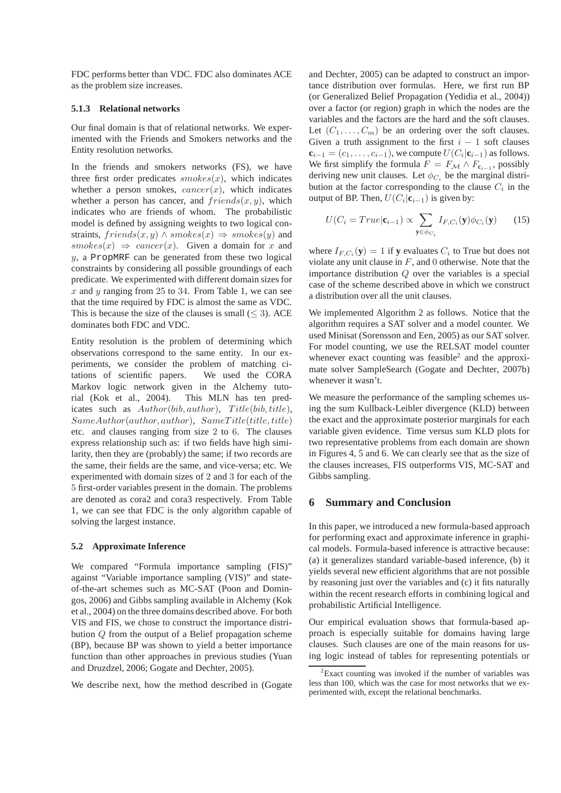FDC performs better than VDC. FDC also dominates ACE as the problem size increases.

## **5.1.3 Relational networks**

Our final domain is that of relational networks. We experimented with the Friends and Smokers networks and the Entity resolution networks.

In the friends and smokers networks (FS), we have three first order predicates  $smokes(x)$ , which indicates whether a person smokes,  $cancer(x)$ , which indicates whether a person has cancer, and  $friends(x, y)$ , which indicates who are friends of whom. The probabilistic model is defined by assigning weights to two logical constraints,  $friends(x, y) \wedge \overline{smokes}(x) \Rightarrow \overline{smokes}(y)$  and  $smokes(x) \Rightarrow cancer(x)$ . Given a domain for x and y, a PropMRF can be generated from these two logical constraints by considering all possible groundings of each predicate. We experimented with different domain sizes for  $x$  and  $y$  ranging from 25 to 34. From Table 1, we can see that the time required by FDC is almost the same as VDC. This is because the size of the clauses is small  $(< 3)$ . ACE dominates both FDC and VDC.

Entity resolution is the problem of determining which observations correspond to the same entity. In our experiments, we consider the problem of matching citations of scientific papers. We used the CORA Markov logic network given in the Alchemy tutorial (Kok et al., 2004). This MLN has ten predicates such as  $Author(bib, author)$ ,  $Title(bib, title)$ ,  $SameAuthor(author, author), SameTitle(title, title)$ etc. and clauses ranging from size 2 to 6. The clauses express relationship such as: if two fields have high similarity, then they are (probably) the same; if two records are the same, their fields are the same, and vice-versa; etc. We experimented with domain sizes of 2 and 3 for each of the 5 first-order variables present in the domain. The problems are denoted as cora2 and cora3 respectively. From Table 1, we can see that FDC is the only algorithm capable of solving the largest instance.

#### **5.2 Approximate Inference**

We compared "Formula importance sampling (FIS)" against "Variable importance sampling (VIS)" and stateof-the-art schemes such as MC-SAT (Poon and Domingos, 2006) and Gibbs sampling available in Alchemy (Kok et al., 2004) on the three domains described above. For both VIS and FIS, we chose to construct the importance distribution Q from the output of a Belief propagation scheme (BP), because BP was shown to yield a better importance function than other approaches in previous studies (Yuan and Druzdzel, 2006; Gogate and Dechter, 2005).

We describe next, how the method described in (Gogate

and Dechter, 2005) can be adapted to construct an importance distribution over formulas. Here, we first run BP (or Generalized Belief Propagation (Yedidia et al., 2004)) over a factor (or region) graph in which the nodes are the variables and the factors are the hard and the soft clauses. Let  $(C_1, \ldots, C_m)$  be an ordering over the soft clauses. Given a truth assignment to the first  $i - 1$  soft clauses  $\mathbf{c}_{i-1} = (c_1, \dots, c_{i-1}),$  we compute  $U(C_i | \mathbf{c}_{i-1})$  as follows. We first simplify the formula  $F = F_{\mathcal{M}} \wedge F_{\mathbf{c}_{i-1}}$ , possibly deriving new unit clauses. Let  $\phi_{C_i}$  be the marginal distribution at the factor corresponding to the clause  $C_i$  in the output of BP. Then,  $U(C_i | c_{i-1})$  is given by:

$$
U(C_i = True | \mathbf{c}_{i-1}) \propto \sum_{\mathbf{y} \in \phi_{C_i}} I_{F, C_i}(\mathbf{y}) \phi_{C_i}(\mathbf{y}) \qquad (15)
$$

where  $I_{F,C_i}(\mathbf{y}) = 1$  if **y** evaluates  $C_i$  to True but does not violate any unit clause in  $F$ , and 0 otherwise. Note that the importance distribution Q over the variables is a special case of the scheme described above in which we construct a distribution over all the unit clauses.

We implemented Algorithm 2 as follows. Notice that the algorithm requires a SAT solver and a model counter. We used Minisat (Sorensson and Een, 2005) as our SAT solver. For model counting, we use the RELSAT model counter whenever exact counting was feasible<sup>2</sup> and the approximate solver SampleSearch (Gogate and Dechter, 2007b) whenever it wasn't.

We measure the performance of the sampling schemes using the sum Kullback-Leibler divergence (KLD) between the exact and the approximate posterior marginals for each variable given evidence. Time versus sum KLD plots for two representative problems from each domain are shown in Figures 4, 5 and 6. We can clearly see that as the size of the clauses increases, FIS outperforms VIS, MC-SAT and Gibbs sampling.

## **6 Summary and Conclusion**

In this paper, we introduced a new formula-based approach for performing exact and approximate inference in graphical models. Formula-based inference is attractive because: (a) it generalizes standard variable-based inference, (b) it yields several new efficient algorithms that are not possible by reasoning just over the variables and (c) it fits naturally within the recent research efforts in combining logical and probabilistic Artificial Intelligence.

Our empirical evaluation shows that formula-based approach is especially suitable for domains having large clauses. Such clauses are one of the main reasons for using logic instead of tables for representing potentials or

 $2$ Exact counting was invoked if the number of variables was less than 100, which was the case for most networks that we experimented with, except the relational benchmarks.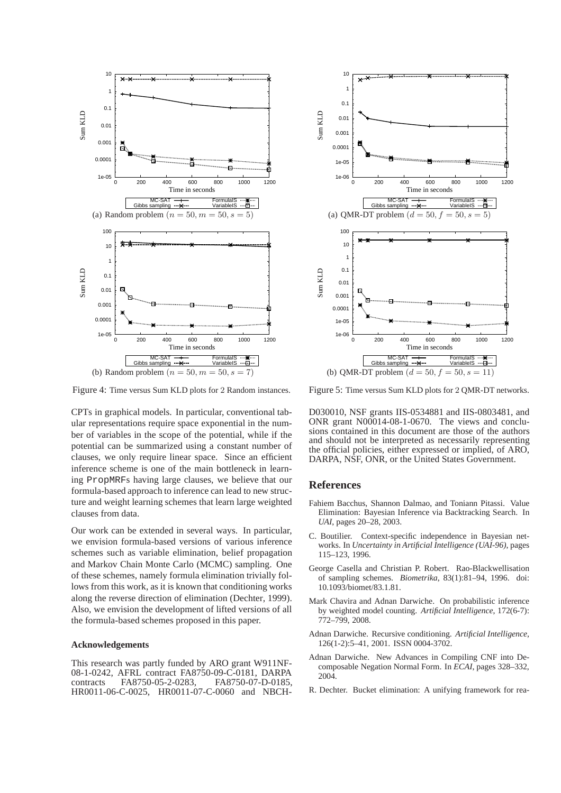

Figure 4: Time versus Sum KLD plots for 2 Random instances.

CPTs in graphical models. In particular, conventional tabular representations require space exponential in the number of variables in the scope of the potential, while if the potential can be summarized using a constant number of clauses, we only require linear space. Since an efficient inference scheme is one of the main bottleneck in learning PropMRFs having large clauses, we believe that our formula-based approach to inference can lead to new structure and weight learning schemes that learn large weighted clauses from data.

Our work can be extended in several ways. In particular, we envision formula-based versions of various inference schemes such as variable elimination, belief propagation and Markov Chain Monte Carlo (MCMC) sampling. One of these schemes, namely formula elimination trivially follows from this work, as it is known that conditioning works along the reverse direction of elimination (Dechter, 1999). Also, we envision the development of lifted versions of all the formula-based schemes proposed in this paper.

#### **Acknowledgements**

This research was partly funded by ARO grant W911NF-08-1-0242, AFRL contract FA8750-09-C-0181, DARPA contracts FA8750-05-2-0283, FA8750-07-D-0185, HR0011-06-C-0025, HR0011-07-C-0060 and NBCH-



Figure 5: Time versus Sum KLD plots for 2 QMR-DT networks.

D030010, NSF grants IIS-0534881 and IIS-0803481, and ONR grant N00014-08-1-0670. The views and conclusions contained in this document are those of the authors and should not be interpreted as necessarily representing the official policies, either expressed or implied, of ARO, DARPA, NSF, ONR, or the United States Government.

#### **References**

- Fahiem Bacchus, Shannon Dalmao, and Toniann Pitassi. Value Elimination: Bayesian Inference via Backtracking Search. In *UAI*, pages 20–28, 2003.
- C. Boutilier. Context-specific independence in Bayesian networks. In *Uncertainty in Artificial Intelligence (UAI-96)*, pages 115–123, 1996.
- George Casella and Christian P. Robert. Rao-Blackwellisation of sampling schemes. *Biometrika*, 83(1):81–94, 1996. doi: 10.1093/biomet/83.1.81.
- Mark Chavira and Adnan Darwiche. On probabilistic inference by weighted model counting. *Artificial Intelligence*, 172(6-7): 772–799, 2008.
- Adnan Darwiche. Recursive conditioning. *Artificial Intelligence*, 126(1-2):5–41, 2001. ISSN 0004-3702.
- Adnan Darwiche. New Advances in Compiling CNF into Decomposable Negation Normal Form. In *ECAI*, pages 328–332, 2004.
- R. Dechter. Bucket elimination: A unifying framework for rea-